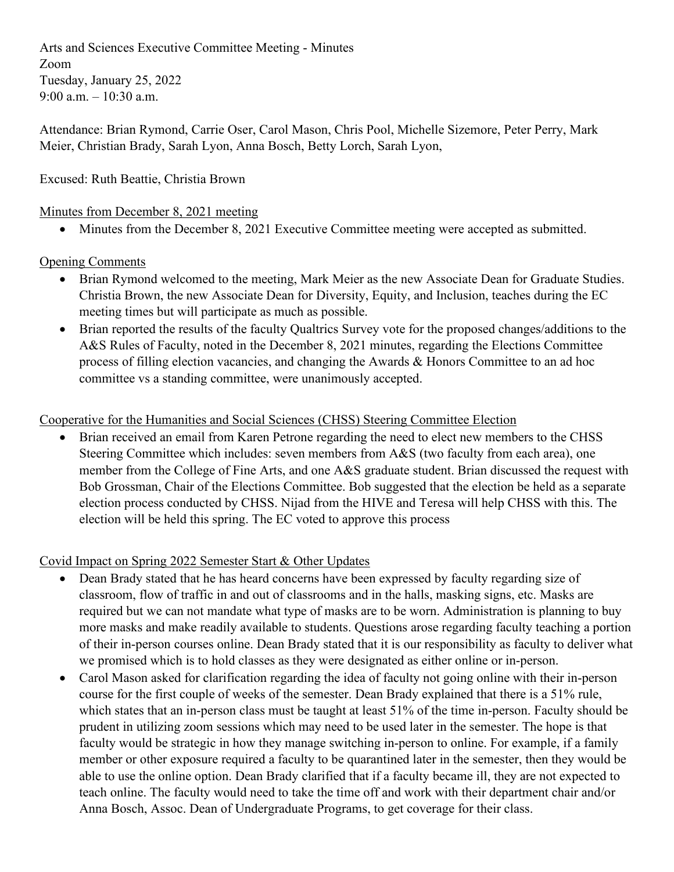Arts and Sciences Executive Committee Meeting - Minutes Zoom Tuesday, January 25, 2022 9:00 a.m.  $-10:30$  a.m.

Attendance: Brian Rymond, Carrie Oser, Carol Mason, Chris Pool, Michelle Sizemore, Peter Perry, Mark Meier, Christian Brady, Sarah Lyon, Anna Bosch, Betty Lorch, Sarah Lyon,

# Excused: Ruth Beattie, Christia Brown

### Minutes from December 8, 2021 meeting

• Minutes from the December 8, 2021 Executive Committee meeting were accepted as submitted.

## Opening Comments

- Brian Rymond welcomed to the meeting, Mark Meier as the new Associate Dean for Graduate Studies. Christia Brown, the new Associate Dean for Diversity, Equity, and Inclusion, teaches during the EC meeting times but will participate as much as possible.
- Brian reported the results of the faculty Qualtrics Survey vote for the proposed changes/additions to the A&S Rules of Faculty, noted in the December 8, 2021 minutes, regarding the Elections Committee process of filling election vacancies, and changing the Awards & Honors Committee to an ad hoc committee vs a standing committee, were unanimously accepted.

## Cooperative for the Humanities and Social Sciences (CHSS) Steering Committee Election

• Brian received an email from Karen Petrone regarding the need to elect new members to the CHSS Steering Committee which includes: seven members from A&S (two faculty from each area), one member from the College of Fine Arts, and one A&S graduate student. Brian discussed the request with Bob Grossman, Chair of the Elections Committee. Bob suggested that the election be held as a separate election process conducted by CHSS. Nijad from the HIVE and Teresa will help CHSS with this. The election will be held this spring. The EC voted to approve this process

# Covid Impact on Spring 2022 Semester Start & Other Updates

- Dean Brady stated that he has heard concerns have been expressed by faculty regarding size of classroom, flow of traffic in and out of classrooms and in the halls, masking signs, etc. Masks are required but we can not mandate what type of masks are to be worn. Administration is planning to buy more masks and make readily available to students. Questions arose regarding faculty teaching a portion of their in-person courses online. Dean Brady stated that it is our responsibility as faculty to deliver what we promised which is to hold classes as they were designated as either online or in-person.
- Carol Mason asked for clarification regarding the idea of faculty not going online with their in-person course for the first couple of weeks of the semester. Dean Brady explained that there is a 51% rule, which states that an in-person class must be taught at least 51% of the time in-person. Faculty should be prudent in utilizing zoom sessions which may need to be used later in the semester. The hope is that faculty would be strategic in how they manage switching in-person to online. For example, if a family member or other exposure required a faculty to be quarantined later in the semester, then they would be able to use the online option. Dean Brady clarified that if a faculty became ill, they are not expected to teach online. The faculty would need to take the time off and work with their department chair and/or Anna Bosch, Assoc. Dean of Undergraduate Programs, to get coverage for their class.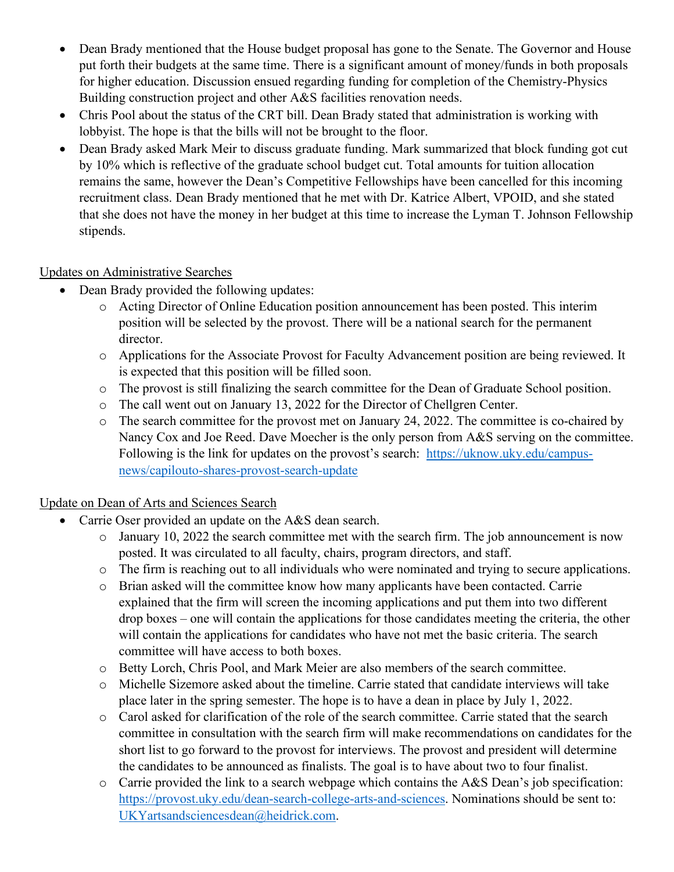- Dean Brady mentioned that the House budget proposal has gone to the Senate. The Governor and House put forth their budgets at the same time. There is a significant amount of money/funds in both proposals for higher education. Discussion ensued regarding funding for completion of the Chemistry-Physics Building construction project and other A&S facilities renovation needs.
- Chris Pool about the status of the CRT bill. Dean Brady stated that administration is working with lobbyist. The hope is that the bills will not be brought to the floor.
- Dean Brady asked Mark Meir to discuss graduate funding. Mark summarized that block funding got cut by 10% which is reflective of the graduate school budget cut. Total amounts for tuition allocation remains the same, however the Dean's Competitive Fellowships have been cancelled for this incoming recruitment class. Dean Brady mentioned that he met with Dr. Katrice Albert, VPOID, and she stated that she does not have the money in her budget at this time to increase the Lyman T. Johnson Fellowship stipends.

# Updates on Administrative Searches

- Dean Brady provided the following updates:
	- o Acting Director of Online Education position announcement has been posted. This interim position will be selected by the provost. There will be a national search for the permanent director.
	- o Applications for the Associate Provost for Faculty Advancement position are being reviewed. It is expected that this position will be filled soon.
	- o The provost is still finalizing the search committee for the Dean of Graduate School position.
	- o The call went out on January 13, 2022 for the Director of Chellgren Center.
	- o The search committee for the provost met on January 24, 2022. The committee is co-chaired by Nancy Cox and Joe Reed. Dave Moecher is the only person from A&S serving on the committee. Following is the link for updates on the provost's search: [https://uknow.uky.edu/campus](https://uknow.uky.edu/campus-news/capilouto-shares-provost-search-update)[news/capilouto-shares-provost-search-update](https://uknow.uky.edu/campus-news/capilouto-shares-provost-search-update)

# Update on Dean of Arts and Sciences Search

- Carrie Oser provided an update on the A&S dean search.
	- o January 10, 2022 the search committee met with the search firm. The job announcement is now posted. It was circulated to all faculty, chairs, program directors, and staff.
	- o The firm is reaching out to all individuals who were nominated and trying to secure applications.
	- o Brian asked will the committee know how many applicants have been contacted. Carrie explained that the firm will screen the incoming applications and put them into two different drop boxes – one will contain the applications for those candidates meeting the criteria, the other will contain the applications for candidates who have not met the basic criteria. The search committee will have access to both boxes.
	- o Betty Lorch, Chris Pool, and Mark Meier are also members of the search committee.
	- o Michelle Sizemore asked about the timeline. Carrie stated that candidate interviews will take place later in the spring semester. The hope is to have a dean in place by July 1, 2022.
	- o Carol asked for clarification of the role of the search committee. Carrie stated that the search committee in consultation with the search firm will make recommendations on candidates for the short list to go forward to the provost for interviews. The provost and president will determine the candidates to be announced as finalists. The goal is to have about two to four finalist.
	- $\circ$  Carrie provided the link to a search webpage which contains the A&S Dean's job specification: [https://provost.uky.edu/dean-search-college-arts-and-sciences.](https://provost.uky.edu/dean-search-college-arts-and-sciences) Nominations should be sent to: [UKYartsandsciencesdean@heidrick.com.](mailto:UKYartsandsciencesdean@heidrick.com)